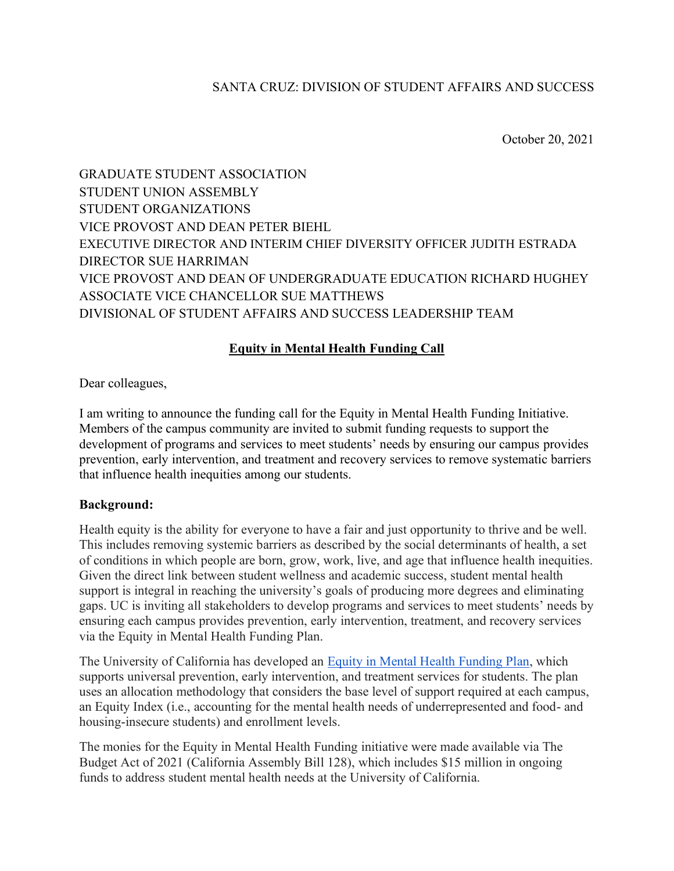# SANTA CRUZ: DIVISION OF STUDENT AFFAIRS AND SUCCESS

October 20, 2021

GRADUATE STUDENT ASSOCIATION STUDENT UNION ASSEMBLY STUDENT ORGANIZATIONS VICE PROVOST AND DEAN PETER BIEHL EXECUTIVE DIRECTOR AND INTERIM CHIEF DIVERSITY OFFICER JUDITH ESTRADA DIRECTOR SUE HARRIMAN VICE PROVOST AND DEAN OF UNDERGRADUATE EDUCATION RICHARD HUGHEY ASSOCIATE VICE CHANCELLOR SUE MATTHEWS DIVISIONAL OF STUDENT AFFAIRS AND SUCCESS LEADERSHIP TEAM

## **Equity in Mental Health Funding Call**

Dear colleagues,

I am writing to announce the funding call for the Equity in Mental Health Funding Initiative. Members of the campus community are invited to submit funding requests to support the development of programs and services to meet students' needs by ensuring our campus provides prevention, early intervention, and treatment and recovery services to remove systematic barriers that influence health inequities among our students.

#### **Background:**

Health equity is the ability for everyone to have a fair and just opportunity to thrive and be well. This includes removing systemic barriers as described by the social determinants of health, a set of conditions in which people are born, grow, work, live, and age that influence health inequities. Given the direct link between student wellness and academic success, student mental health support is integral in reaching the university's goals of producing more degrees and eliminating gaps. UC is inviting all stakeholders to develop programs and services to meet students' needs by ensuring each campus provides prevention, early intervention, treatment, and recovery services via the Equity in Mental Health Funding Plan.

The University of California has developed an [Equity in Mental Health Funding Plan,](https://www.ucop.edu/student-equity-affairs/programs-and-initiatives/equity-funding-plan.pdf) which supports universal prevention, early intervention, and treatment services for students. The plan uses an allocation methodology that considers the base level of support required at each campus, an Equity Index (i.e., accounting for the mental health needs of underrepresented and food- and housing-insecure students) and enrollment levels.

The monies for the Equity in Mental Health Funding initiative were made available via The Budget Act of 2021 (California Assembly Bill 128), which includes \$15 million in ongoing funds to address student mental health needs at the University of California.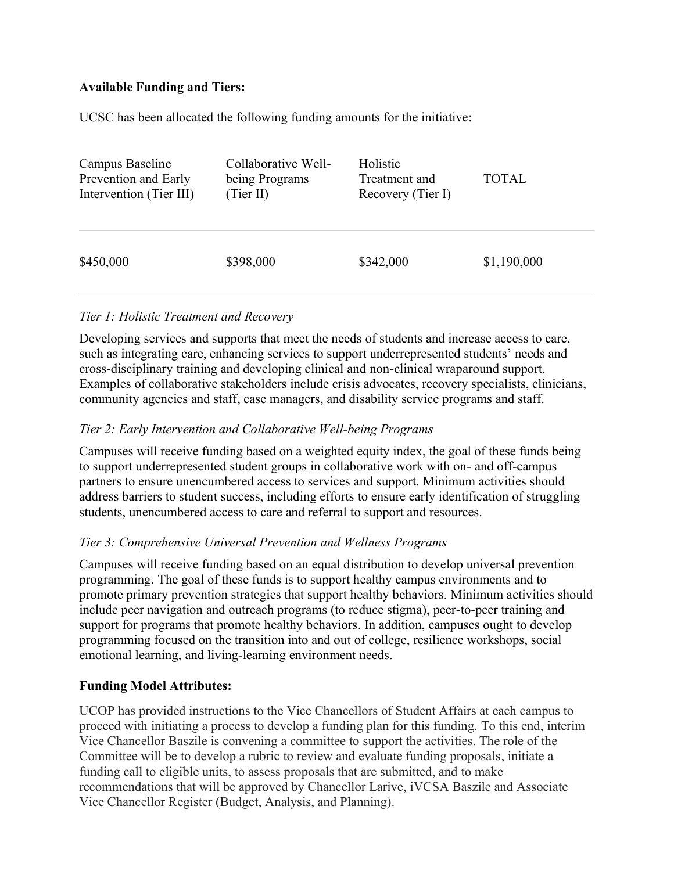# **Available Funding and Tiers:**

UCSC has been allocated the following funding amounts for the initiative:

| Campus Baseline         | Collaborative Well- | Holistic          | <b>TOTAL</b> |
|-------------------------|---------------------|-------------------|--------------|
| Prevention and Early    | being Programs      | Treatment and     |              |
| Intervention (Tier III) | (Tier II)           | Recovery (Tier I) |              |
| \$450,000               | \$398,000           | \$342,000         | \$1,190,000  |

### *Tier 1: Holistic Treatment and Recovery*

Developing services and supports that meet the needs of students and increase access to care, such as integrating care, enhancing services to support underrepresented students' needs and cross-disciplinary training and developing clinical and non-clinical wraparound support. Examples of collaborative stakeholders include crisis advocates, recovery specialists, clinicians, community agencies and staff, case managers, and disability service programs and staff.

### *Tier 2: Early Intervention and Collaborative Well-being Programs*

Campuses will receive funding based on a weighted equity index, the goal of these funds being to support underrepresented student groups in collaborative work with on- and off-campus partners to ensure unencumbered access to services and support. Minimum activities should address barriers to student success, including efforts to ensure early identification of struggling students, unencumbered access to care and referral to support and resources.

### *Tier 3: Comprehensive Universal Prevention and Wellness Programs*

Campuses will receive funding based on an equal distribution to develop universal prevention programming. The goal of these funds is to support healthy campus environments and to promote primary prevention strategies that support healthy behaviors. Minimum activities should include peer navigation and outreach programs (to reduce stigma), peer-to-peer training and support for programs that promote healthy behaviors. In addition, campuses ought to develop programming focused on the transition into and out of college, resilience workshops, social emotional learning, and living-learning environment needs.

#### **Funding Model Attributes:**

UCOP has provided instructions to the Vice Chancellors of Student Affairs at each campus to proceed with initiating a process to develop a funding plan for this funding. To this end, interim Vice Chancellor Baszile is convening a committee to support the activities. The role of the Committee will be to develop a rubric to review and evaluate funding proposals, initiate a funding call to eligible units, to assess proposals that are submitted, and to make recommendations that will be approved by Chancellor Larive, iVCSA Baszile and Associate Vice Chancellor Register (Budget, Analysis, and Planning).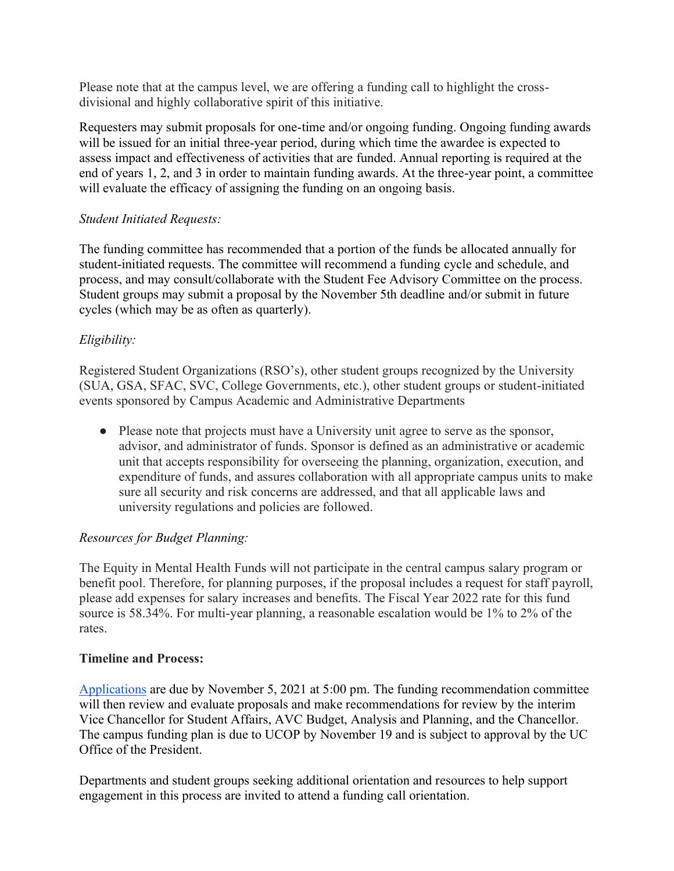Please note that at the campus level, we are offering a funding call to highlight the crossdivisional and highly collaborative spirit of this initiative.

Requesters may submit proposals for one-time and/or ongoing funding. Ongoing funding awards will be issued for an initial three-year period, during which time the awardee is expected to assess impact and effectiveness of activities that are funded. Annual reporting is required at the end of years 1, 2, and 3 in order to maintain funding awards. At the three-year point, a committee will evaluate the efficacy of assigning the funding on an ongoing basis.

### *Student Initiated Requests:*

The funding committee has recommended that a portion of the funds be allocated annually for student-initiated requests. The committee will recommend a funding cycle and schedule, and process, and may consult/collaborate with the Student Fee Advisory Committee on the process. Student groups may submit a proposal by the November 5th deadline and/or submit in future cycles (which may be as often as quarterly).

# *Eligibility:*

Registered Student Organizations (RSO's), other student groups recognized by the University (SUA, GSA, SFAC, SVC, College Governments, etc.), other student groups or student-initiated events sponsored by Campus Academic and Administrative Departments

● Please note that projects must have a University unit agree to serve as the sponsor, advisor, and administrator of funds. Sponsor is defined as an administrative or academic unit that accepts responsibility for overseeing the planning, organization, execution, and expenditure of funds, and assures collaboration with all appropriate campus units to make sure all security and risk concerns are addressed, and that all applicable laws and university regulations and policies are followed.

# *Resources for Budget Planning:*

The Equity in Mental Health Funds will not participate in the central campus salary program or benefit pool. Therefore, for planning purposes, if the proposal includes a request for staff payroll, please add expenses for salary increases and benefits. The Fiscal Year 2022 rate for this fund source is 58.34%. For multi-year planning, a reasonable escalation would be 1% to 2% of the rates.

### **Timeline and Process:**

[Applications](https://ucsantacruz.co1.qualtrics.com/jfe/form/SV_easuoCy0C28S6ge) are due by November 5, 2021 at 5:00 pm. The funding recommendation committee will then review and evaluate proposals and make recommendations for review by the interim Vice Chancellor for Student Affairs, AVC Budget, Analysis and Planning, and the Chancellor. The campus funding plan is due to UCOP by November 19 and is subject to approval by the UC Office of the President.

Departments and student groups seeking additional orientation and resources to help support engagement in this process are invited to attend a funding call orientation.